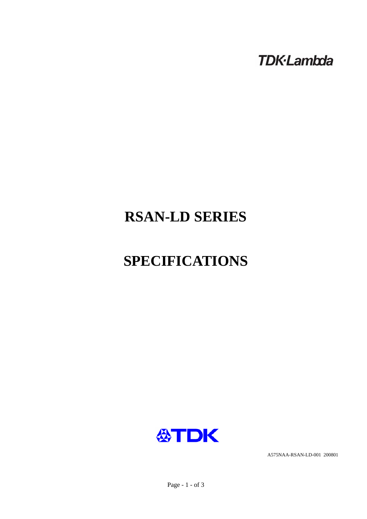**TDK-Lambda** 

# **RSAN-LD SERIES**

# **SPECIFICATIONS**



A575NAA-RSAN-LD-001 200801

Page - 1 - of 3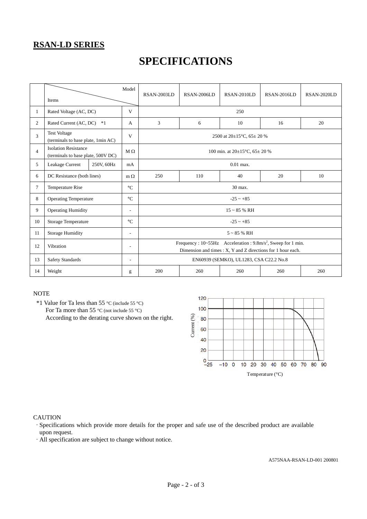### **RSAN-LD SERIES**

## **SPECIFICATIONS**

|                | Items                                                             |            | Model                                                                                                                                     | RSAN-2003LD                                  | <b>RSAN-2006LD</b> | RSAN-2010LD | RSAN-2016LD | RSAN-2020LD |  |  |
|----------------|-------------------------------------------------------------------|------------|-------------------------------------------------------------------------------------------------------------------------------------------|----------------------------------------------|--------------------|-------------|-------------|-------------|--|--|
| $\mathbf{1}$   | Rated Voltage (AC, DC)                                            |            | V                                                                                                                                         | 250                                          |                    |             |             |             |  |  |
| $\overline{2}$ | Rated Current (AC, DC)<br>$*1$                                    |            | A                                                                                                                                         | 3                                            | 6                  | 10          | 16          | 20          |  |  |
| 3              | <b>Test Voltage</b><br>(terminals to base plate, 1min AC)         |            | V                                                                                                                                         | 2500 at $20\pm15^{\circ}$ C, 65 $\pm$ 20 %   |                    |             |             |             |  |  |
| $\overline{4}$ | <b>Isolation Resistance</b><br>(terminals to base plate, 500V DC) |            | $M \Omega$                                                                                                                                | 100 min. at $20\pm15^{\circ}$ C, $65\pm20$ % |                    |             |             |             |  |  |
| 5              | Leakage Current                                                   | 250V, 60Hz | mA                                                                                                                                        | $0.01$ max.                                  |                    |             |             |             |  |  |
| 6              | DC Resistance (both lines)                                        |            | $m \Omega$                                                                                                                                | 250                                          | 110                | 40          | 20          | 10          |  |  |
| 7              | Temperature Rise                                                  |            | $\rm ^{\circ}C$                                                                                                                           | 30 max.                                      |                    |             |             |             |  |  |
| 8              | <b>Operating Temperature</b>                                      |            | $\rm ^{\circ}C$                                                                                                                           | $-25 - +85$                                  |                    |             |             |             |  |  |
| 9              | <b>Operating Humidity</b>                                         |            | ٠                                                                                                                                         | $15 - 85$ % RH                               |                    |             |             |             |  |  |
| 10             | <b>Storage Temperature</b>                                        |            | $\rm ^{\circ}C$                                                                                                                           | $-25 - +85$                                  |                    |             |             |             |  |  |
| 11             | <b>Storage Humidity</b>                                           |            | $\overline{a}$                                                                                                                            | $5 \sim 85$ % RH                             |                    |             |             |             |  |  |
| 12             | Vibration<br>$\overline{\phantom{a}}$                             |            | Frequency : 10~55Hz Acceleration : 9.8m/s <sup>2</sup> , Sweep for 1 min.<br>Dimension and times : X, Y and Z directions for 1 hour each. |                                              |                    |             |             |             |  |  |
| 13             | <b>Safety Standards</b>                                           |            | $\overline{\phantom{a}}$                                                                                                                  | EN60939 (SEMKO), UL1283, CSA C22.2 No.8      |                    |             |             |             |  |  |
| 14             | Weight                                                            |            | g                                                                                                                                         | 200                                          | 260                | 260         | 260         | 260         |  |  |

#### **NOTE**

 \*1 Value for Ta less than 55 °C (include 55 °C) For Ta more than 55 °C (not include 55 °C) According to the derating curve shown on the right.



#### **CAUTION**

·Specifications which provide more details for the proper and safe use of the described product are available upon request.

·All specification are subject to change without notice.

A575NAA-RSAN-LD-001 200801